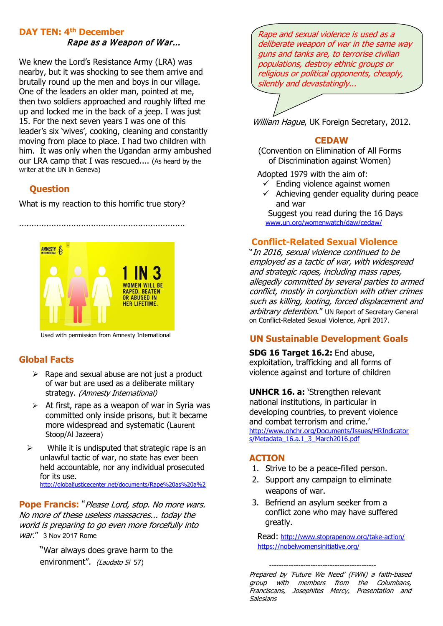#### **DAY TEN: 4th December**

#### Rape as a Weapon of War...

We knew the Lord's Resistance Army (LRA) was nearby, but it was shocking to see them arrive and brutally round up the men and boys in our village. One of the leaders an older man, pointed at me, then two soldiers approached and roughly lifted me up and locked me in the back of a jeep. I was just 15. For the next seven years I was one of this leader's six 'wives', cooking, cleaning and constantly moving from place to place. I had two children with him. It was only when the Ugandan army ambushed our LRA camp that I was rescued.... (As heard by the writer at the UN in Geneva)

### **Question**

What is my reaction to this horrific true story?

...................................................................



Used with permission from Amnesty International

## **Global Facts**

- $\triangleright$  Rape and sexual abuse are not just a product of war but are used as a deliberate military strategy. (Amnesty International)
- $\triangleright$  At first, rape as a weapon of war in Syria was committed only inside prisons, but it became more widespread and systematic (Laurent Stoop/Al Jazeera)
- $\triangleright$  While it is undisputed that strategic rape is an unlawful tactic of war, no state has ever been held accountable, nor any individual prosecuted for its use. [http://globaljusticecenter.net/documents/Rape%20as%20a%2](http://globaljusticecenter.net/documents/Rape%20as%20a%252)

**Pope Francis:** "Please Lord, stop. No more wars. No more of these useless massacres... today the world is preparing to go even more forcefully into war." 3 Nov 2017 Rome

> "War always does grave harm to the environment". (Laudato Si 57)

Rape and sexual violence is used as a deliberate weapon of war in the same wav guns and tanks are, to terrorise civilian populations, destroy ethnic groups or religious or political opponents, cheaply, silently and devastatingly...

William Hague, UK Foreign Secretary, 2012.

#### **CEDAW**

 (Convention on Elimination of All Forms of Discrimination against Women)

Adopted 1979 with the aim of:

- $\checkmark$  Ending violence against women
- $\checkmark$  Achieving gender equality during peace and war

 Suggest you read during the 16 Days [www.un.org/womenwatch/daw/cedaw/](http://www.un.org/womenwatch/daw/cedaw/)

## **Conflict-Related Sexual Violence**

"In 2016, sexual violence continued to be employed as a tactic of war, with widespread and strategic rapes, including mass rapes, allegedly committed by several parties to armed conflict, mostly in conjunction with other crimes such as killing, looting, forced displacement and arbitrary detention." UN Report of Secretary General on Conflict-Related Sexual Violence, April 2017.

## **UN Sustainable Development Goals**

**SDG 16 Target 16.2:** End abuse, exploitation, trafficking and all forms of violence against and torture of children

**UNHCR 16. a:** 'Strengthen relevant national institutions, in particular in developing countries, to prevent violence and combat terrorism and crime.' [http://www.ohchr.org/Documents/Issues/HRIndicator](http://www.ohchr.org/Documents/Issues/HRIndicators/Metadata_16.a.1_3_March2016.pdf) [s/Metadata\\_16.a.1\\_3\\_March2016.pdf](http://www.ohchr.org/Documents/Issues/HRIndicators/Metadata_16.a.1_3_March2016.pdf)

#### **ACTION**

- 1. Strive to be a peace-filled person.
- 2. Support any campaign to eliminate weapons of war.
- 3. Befriend an asylum seeker from a conflict zone who may have suffered greatly.

Read: <http://www.stoprapenow.org/take-action/> <https://nobelwomensinitiative.org/>

 -------------------------------------------- Prepared by 'Future We Need' (FWN) a faith-based group with members from the Columbans, Franciscans, Josephites Mercy, Presentation and **Salesians**